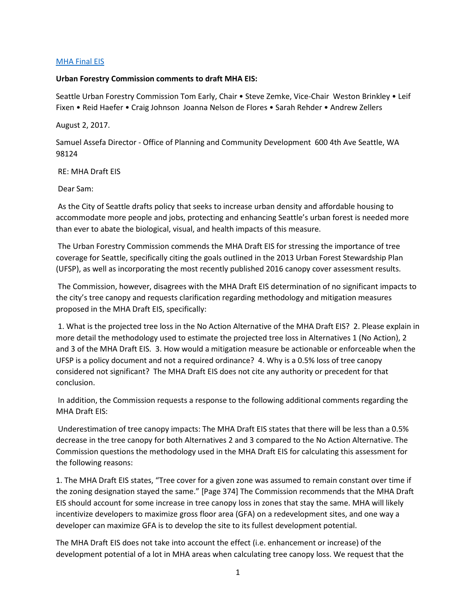## [MHA Final EIS](mailto:https://www.seattle.gov/Documents/Departments/HALA/Policy/MHA_FEIS/Compiled_MHA_FEIS_2017.pdf)

## **Urban Forestry Commission comments to draft MHA EIS:**

Seattle Urban Forestry Commission Tom Early, Chair • Steve Zemke, Vice-Chair Weston Brinkley • Leif Fixen • Reid Haefer • Craig Johnson Joanna Nelson de Flores • Sarah Rehder • Andrew Zellers

## August 2, 2017.

Samuel Assefa Director - Office of Planning and Community Development 600 4th Ave Seattle, WA 98124

RE: MHA Draft EIS

Dear Sam:

As the City of Seattle drafts policy that seeks to increase urban density and affordable housing to accommodate more people and jobs, protecting and enhancing Seattle's urban forest is needed more than ever to abate the biological, visual, and health impacts of this measure.

The Urban Forestry Commission commends the MHA Draft EIS for stressing the importance of tree coverage for Seattle, specifically citing the goals outlined in the 2013 Urban Forest Stewardship Plan (UFSP), as well as incorporating the most recently published 2016 canopy cover assessment results.

The Commission, however, disagrees with the MHA Draft EIS determination of no significant impacts to the city's tree canopy and requests clarification regarding methodology and mitigation measures proposed in the MHA Draft EIS, specifically:

1. What is the projected tree loss in the No Action Alternative of the MHA Draft EIS? 2. Please explain in more detail the methodology used to estimate the projected tree loss in Alternatives 1 (No Action), 2 and 3 of the MHA Draft EIS. 3. How would a mitigation measure be actionable or enforceable when the UFSP is a policy document and not a required ordinance? 4. Why is a 0.5% loss of tree canopy considered not significant? The MHA Draft EIS does not cite any authority or precedent for that conclusion.

In addition, the Commission requests a response to the following additional comments regarding the MHA Draft EIS:

Underestimation of tree canopy impacts: The MHA Draft EIS states that there will be less than a 0.5% decrease in the tree canopy for both Alternatives 2 and 3 compared to the No Action Alternative. The Commission questions the methodology used in the MHA Draft EIS for calculating this assessment for the following reasons:

1. The MHA Draft EIS states, "Tree cover for a given zone was assumed to remain constant over time if the zoning designation stayed the same." [Page 374] The Commission recommends that the MHA Draft EIS should account for some increase in tree canopy loss in zones that stay the same. MHA will likely incentivize developers to maximize gross floor area (GFA) on a redevelopment sites, and one way a developer can maximize GFA is to develop the site to its fullest development potential.

The MHA Draft EIS does not take into account the effect (i.e. enhancement or increase) of the development potential of a lot in MHA areas when calculating tree canopy loss. We request that the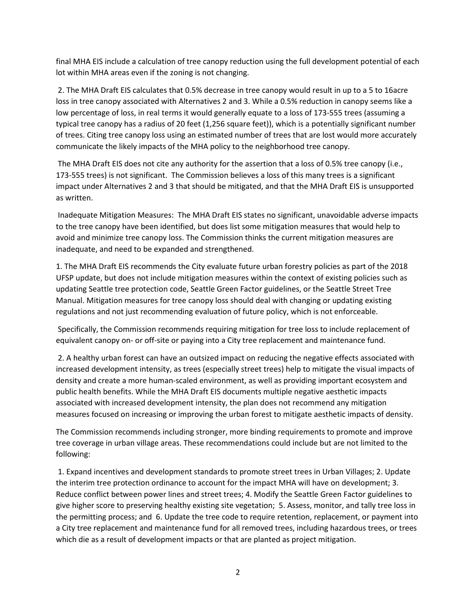final MHA EIS include a calculation of tree canopy reduction using the full development potential of each lot within MHA areas even if the zoning is not changing.

2. The MHA Draft EIS calculates that 0.5% decrease in tree canopy would result in up to a 5 to 16acre loss in tree canopy associated with Alternatives 2 and 3. While a 0.5% reduction in canopy seems like a low percentage of loss, in real terms it would generally equate to a loss of 173-555 trees (assuming a typical tree canopy has a radius of 20 feet (1,256 square feet)), which is a potentially significant number of trees. Citing tree canopy loss using an estimated number of trees that are lost would more accurately communicate the likely impacts of the MHA policy to the neighborhood tree canopy.

The MHA Draft EIS does not cite any authority for the assertion that a loss of 0.5% tree canopy (i.e., 173-555 trees) is not significant. The Commission believes a loss of this many trees is a significant impact under Alternatives 2 and 3 that should be mitigated, and that the MHA Draft EIS is unsupported as written.

Inadequate Mitigation Measures: The MHA Draft EIS states no significant, unavoidable adverse impacts to the tree canopy have been identified, but does list some mitigation measures that would help to avoid and minimize tree canopy loss. The Commission thinks the current mitigation measures are inadequate, and need to be expanded and strengthened.

1. The MHA Draft EIS recommends the City evaluate future urban forestry policies as part of the 2018 UFSP update, but does not include mitigation measures within the context of existing policies such as updating Seattle tree protection code, Seattle Green Factor guidelines, or the Seattle Street Tree Manual. Mitigation measures for tree canopy loss should deal with changing or updating existing regulations and not just recommending evaluation of future policy, which is not enforceable.

Specifically, the Commission recommends requiring mitigation for tree loss to include replacement of equivalent canopy on- or off-site or paying into a City tree replacement and maintenance fund.

2. A healthy urban forest can have an outsized impact on reducing the negative effects associated with increased development intensity, as trees (especially street trees) help to mitigate the visual impacts of density and create a more human-scaled environment, as well as providing important ecosystem and public health benefits. While the MHA Draft EIS documents multiple negative aesthetic impacts associated with increased development intensity, the plan does not recommend any mitigation measures focused on increasing or improving the urban forest to mitigate aesthetic impacts of density.

The Commission recommends including stronger, more binding requirements to promote and improve tree coverage in urban village areas. These recommendations could include but are not limited to the following:

1. Expand incentives and development standards to promote street trees in Urban Villages; 2. Update the interim tree protection ordinance to account for the impact MHA will have on development; 3. Reduce conflict between power lines and street trees; 4. Modify the Seattle Green Factor guidelines to give higher score to preserving healthy existing site vegetation; 5. Assess, monitor, and tally tree loss in the permitting process; and 6. Update the tree code to require retention, replacement, or payment into a City tree replacement and maintenance fund for all removed trees, including hazardous trees, or trees which die as a result of development impacts or that are planted as project mitigation.